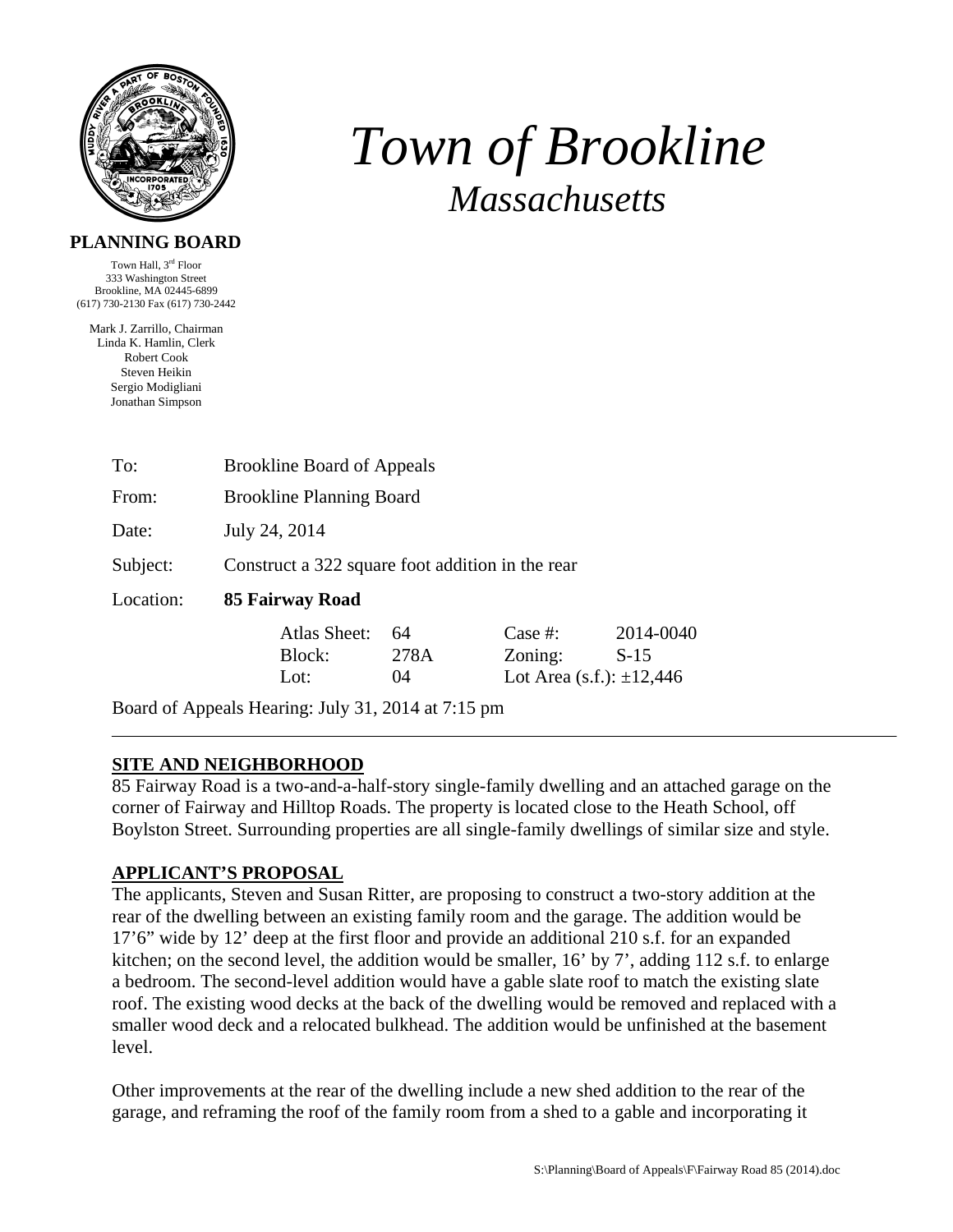

# *Town of Brookline Massachusetts*

#### **PLANNING BOARD**

Town Hall, 3rd Floor 333 Washington Street Brookline, MA 02445-6899 (617) 730-2130 Fax (617) 730-2442

Mark J. Zarrillo, Chairman Linda K. Hamlin, Clerk Robert Cook Steven Heikin Sergio Modigliani Jonathan Simpson

| To:       | <b>Brookline Board of Appeals</b>                |      |            |                               |  |
|-----------|--------------------------------------------------|------|------------|-------------------------------|--|
| From:     | <b>Brookline Planning Board</b>                  |      |            |                               |  |
| Date:     | July 24, 2014                                    |      |            |                               |  |
| Subject:  | Construct a 322 square foot addition in the rear |      |            |                               |  |
| Location: | 85 Fairway Road                                  |      |            |                               |  |
|           | Atlas Sheet:                                     | 64   | Case $#$ : | 2014-0040                     |  |
|           | Block:                                           | 278A | Zoning:    | $S-15$                        |  |
|           | Lot:                                             | (1)4 |            | Lot Area (s.f.): $\pm 12,446$ |  |

Board of Appeals Hearing: July 31, 2014 at 7:15 pm

### **SITE AND NEIGHBORHOOD**

85 Fairway Road is a two-and-a-half-story single-family dwelling and an attached garage on the corner of Fairway and Hilltop Roads. The property is located close to the Heath School, off Boylston Street. Surrounding properties are all single-family dwellings of similar size and style.

### **APPLICANT'S PROPOSAL**

The applicants, Steven and Susan Ritter, are proposing to construct a two-story addition at the rear of the dwelling between an existing family room and the garage. The addition would be 17'6" wide by 12' deep at the first floor and provide an additional 210 s.f. for an expanded kitchen; on the second level, the addition would be smaller, 16' by 7', adding 112 s.f. to enlarge a bedroom. The second-level addition would have a gable slate roof to match the existing slate roof. The existing wood decks at the back of the dwelling would be removed and replaced with a smaller wood deck and a relocated bulkhead. The addition would be unfinished at the basement level.

Other improvements at the rear of the dwelling include a new shed addition to the rear of the garage, and reframing the roof of the family room from a shed to a gable and incorporating it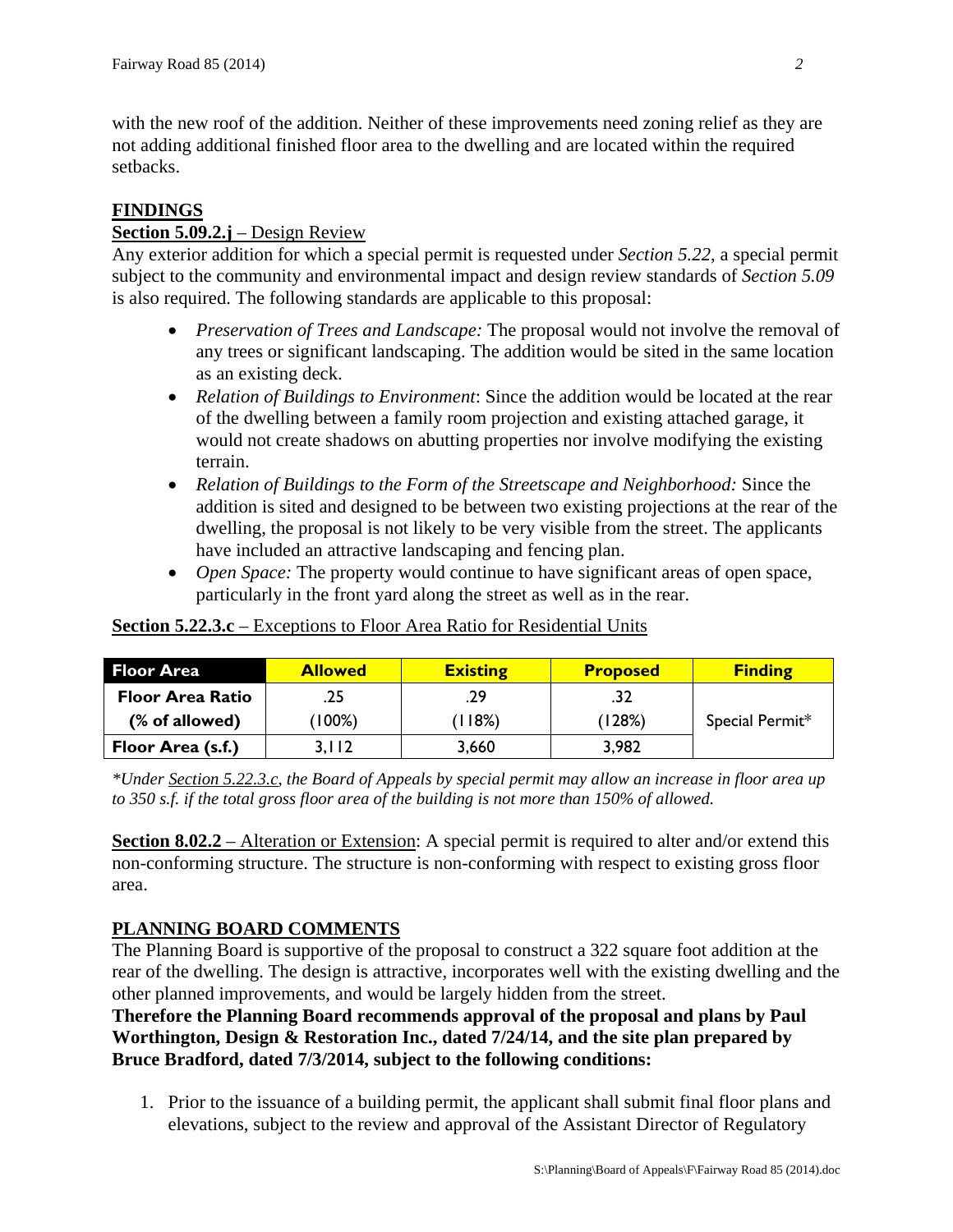with the new roof of the addition. Neither of these improvements need zoning relief as they are not adding additional finished floor area to the dwelling and are located within the required setbacks.

## **FINDINGS**

## **Section 5.09.2.j** – Design Review

Any exterior addition for which a special permit is requested under *Section 5.22*, a special permit subject to the community and environmental impact and design review standards of *Section 5.09* is also required. The following standards are applicable to this proposal:

- *Preservation of Trees and Landscape:* The proposal would not involve the removal of any trees or significant landscaping. The addition would be sited in the same location as an existing deck.
- *Relation of Buildings to Environment*: Since the addition would be located at the rear of the dwelling between a family room projection and existing attached garage, it would not create shadows on abutting properties nor involve modifying the existing terrain.
- *Relation of Buildings to the Form of the Streetscape and Neighborhood:* Since the addition is sited and designed to be between two existing projections at the rear of the dwelling, the proposal is not likely to be very visible from the street. The applicants have included an attractive landscaping and fencing plan.
- *Open Space:* The property would continue to have significant areas of open space, particularly in the front yard along the street as well as in the rear.

| <b>Floor Area</b>       | <b>Allowed</b> | <b>Existing</b> | <b>Proposed</b> | <b>Finding</b>  |
|-------------------------|----------------|-----------------|-----------------|-----------------|
| <b>Floor Area Ratio</b> | .25            | .29             |                 |                 |
| (% of allowed)          | $(100\%)$      | (118%)          | (128%)          | Special Permit* |
| Floor Area (s.f.)       | 3.112          | 3,660           | 3,982           |                 |

**Section 5.22.3.c** – Exceptions to Floor Area Ratio for Residential Units

*\*Under Section 5.22.3.c, the Board of Appeals by special permit may allow an increase in floor area up to 350 s.f. if the total gross floor area of the building is not more than 150% of allowed.* 

**Section 8.02.2** – Alteration or Extension: A special permit is required to alter and/or extend this non-conforming structure. The structure is non-conforming with respect to existing gross floor area.

## **PLANNING BOARD COMMENTS**

The Planning Board is supportive of the proposal to construct a 322 square foot addition at the rear of the dwelling. The design is attractive, incorporates well with the existing dwelling and the other planned improvements, and would be largely hidden from the street.

**Therefore the Planning Board recommends approval of the proposal and plans by Paul Worthington, Design & Restoration Inc., dated 7/24/14, and the site plan prepared by Bruce Bradford, dated 7/3/2014, subject to the following conditions:** 

1. Prior to the issuance of a building permit, the applicant shall submit final floor plans and elevations, subject to the review and approval of the Assistant Director of Regulatory